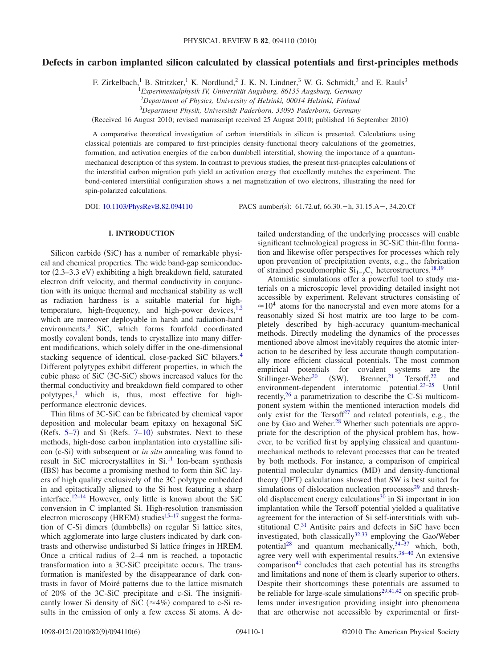# **Defects in carbon implanted silicon calculated by classical potentials and first-principles methods**

F. Zirkelbach,<sup>1</sup> B. Stritzker,<sup>1</sup> K. Nordlund,<sup>2</sup> J. K. N. Lindner,<sup>3</sup> W. G. Schmidt,<sup>3</sup> and E. Rauls<sup>3</sup>

1 *Experimentalphysik IV, Universität Augsburg, 86135 Augsburg, Germany*

2 *Department of Physics, University of Helsinki, 00014 Helsinki, Finland*

<sup>3</sup>*Department Physik, Universität Paderborn, 33095 Paderborn, Germany*

(Received 16 August 2010; revised manuscript received 25 August 2010; published 16 September 2010)

A comparative theoretical investigation of carbon interstitials in silicon is presented. Calculations using classical potentials are compared to first-principles density-functional theory calculations of the geometries, formation, and activation energies of the carbon dumbbell interstitial, showing the importance of a quantummechanical description of this system. In contrast to previous studies, the present first-principles calculations of the interstitial carbon migration path yield an activation energy that excellently matches the experiment. The bond-centered interstitial configuration shows a net magnetization of two electrons, illustrating the need for spin-polarized calculations.

DOI: [10.1103/PhysRevB.82.094110](http://dx.doi.org/10.1103/PhysRevB.82.094110)

PACS number(s):  $61.72 \text{u}$ f,  $66.30 - h$ ,  $31.15.A -$ ,  $34.20.Cf$ 

### **I. INTRODUCTION**

<span id="page-0-0"></span>Silicon carbide (SiC) has a number of remarkable physical and chemical properties. The wide band-gap semiconductor (2.3–3.3 eV) exhibiting a high breakdown field, saturated electron drift velocity, and thermal conductivity in conjunction with its unique thermal and mechanical stability as well as radiation hardness is a suitable material for hightemperature, high-frequency, and high-power devices, $1,2$  $1,2$ which are moreover deployable in harsh and radiation-hard environments.<sup>3</sup> SiC, which forms fourfold coordinated mostly covalent bonds, tends to crystallize into many different modifications, which solely differ in the one-dimensional stacking sequence of identical, close-packed SiC bilayers[.4](#page-4-3) Different polytypes exhibit different properties, in which the cubic phase of SiC (3C-SiC) shows increased values for the thermal conductivity and breakdown field compared to other polytypes,<sup>1</sup> which is, thus, most effective for highperformance electronic devices.

Thin films of 3C-SiC can be fabricated by chemical vapor deposition and molecular beam epitaxy on hexagonal SiC (Refs.  $5-7$  $5-7$ ) and Si (Refs.  $7-10$  $7-10$ ) substrates. Next to these methods, high-dose carbon implantation into crystalline silicon (c-Si) with subsequent or *in situ* annealing was found to result in SiC microcrystallites in  $Si<sup>11</sup>$  Ion-beam synthesis (IBS) has become a promising method to form thin SiC layers of high quality exclusively of the 3C polytype embedded in and epitactically aligned to the Si host featuring a sharp interface.<sup>12[–14](#page-4-9)</sup> However, only little is known about the SiC conversion in C implanted Si. High-resolution transmission electron microscopy (HREM) studies<sup>15[–17](#page-4-11)</sup> suggest the formation of C-Si dimers (dumbbells) on regular Si lattice sites, which agglomerate into large clusters indicated by dark contrasts and otherwise undisturbed Si lattice fringes in HREM. Once a critical radius of 2–4 nm is reached, a topotactic transformation into a 3C-SiC precipitate occurs. The transformation is manifested by the disappearance of dark contrasts in favor of Moiré patterns due to the lattice mismatch of 20% of the 3C-SiC precipitate and c-Si. The insignificantly lower Si density of SiC ( $\approx$ 4%) compared to c-Si results in the emission of only a few excess Si atoms. A detailed understanding of the underlying processes will enable significant technological progress in 3C-SiC thin-film formation and likewise offer perspectives for processes which rely upon prevention of precipitation events, e.g., the fabrication of strained pseudomorphic Si1−*y*C*<sup>y</sup>* heterostructures[.18,](#page-4-12)[19](#page-4-13)

Atomistic simulations offer a powerful tool to study materials on a microscopic level providing detailed insight not accessible by experiment. Relevant structures consisting of  $\approx 10^4$  atoms for the nanocrystal and even more atoms for a reasonably sized Si host matrix are too large to be completely described by high-accuracy quantum-mechanical methods. Directly modeling the dynamics of the processes mentioned above almost inevitably requires the atomic interaction to be described by less accurate though computationally more efficient classical potentials. The most common empirical potentials for covalent systems are the Stillinger-Weber<sup>20</sup> (SW), Brenner,<sup>21</sup> Tersoff,<sup>22</sup> and environment-dependent interatomic potential[.23](#page-4-17)[–25](#page-4-18) Until recently, $26$  a parametrization to describe the C-Si multicomponent system within the mentioned interaction models did only exist for the Tersoff<sup>27</sup> and related potentials, e.g., the one by Gao and Weber.<sup>28</sup> Whether such potentials are appropriate for the description of the physical problem has, however, to be verified first by applying classical and quantummechanical methods to relevant processes that can be treated by both methods. For instance, a comparison of empirical potential molecular dynamics (MD) and density-functional theory (DFT) calculations showed that SW is best suited for simulations of dislocation nucleation processes $^{29}$  and threshold displacement energy calculations $3\dot{0}$  in Si important in ion implantation while the Tersoff potential yielded a qualitative agreement for the interaction of Si self-interstitials with substitutional C.<sup>31</sup> Antisite pairs and defects in SiC have been investigated, both classically $32,33$  $32,33$  employing the Gao/Weber potential<sup>28</sup> and quantum mechanically,  $34-37$  $34-37$  which, both, agree very well with experimental results.<sup>38-40</sup> An extensive comparison<sup>41</sup> concludes that each potential has its strengths and limitations and none of them is clearly superior to others. Despite their shortcomings these potentials are assumed to be reliable for large-scale simulations<sup>29[,41](#page-4-31)[,42](#page-4-32)</sup> on specific problems under investigation providing insight into phenomena that are otherwise not accessible by experimental or first-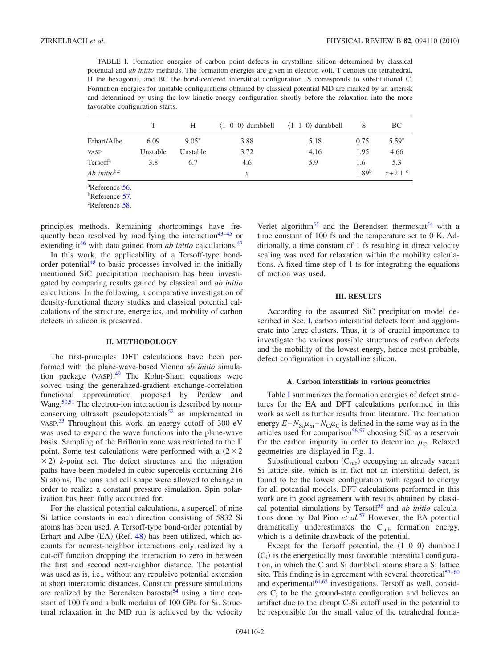<span id="page-1-0"></span>TABLE I. Formation energies of carbon point defects in crystalline silicon determined by classical potential and *ab initio* methods. The formation energies are given in electron volt. T denotes the tetrahedral, H the hexagonal, and BC the bond-centered interstitial configuration. S corresponds to substitutional C. Formation energies for unstable configurations obtained by classical potential MD are marked by an asterisk and determined by using the low kinetic-energy configuration shortly before the relaxation into the more favorable configuration starts.

|                      | T.       | H        |               | $\langle 1 \ 0 \ 0 \rangle$ dumbbell $\langle 1 \ 1 \ 0 \rangle$ dumbbell |                   | BC.         |
|----------------------|----------|----------|---------------|---------------------------------------------------------------------------|-------------------|-------------|
| Erhart/Albe          | 6.09     | $9.05*$  | 3.88          | 5.18                                                                      | 0.75              | $5.59*$     |
| <b>VASP</b>          | Unstable | Unstable | 3.72          | 4.16                                                                      | 1.95              | 4.66        |
| Tersoff <sup>a</sup> | 3.8      | 6.7      | 4.6           | 5.9                                                                       | 1.6               | 5.3         |
| Ab initio $b,c$      |          |          | $\mathcal{X}$ |                                                                           | 1.89 <sup>b</sup> | $x + 2.1$ ° |
| _____                |          |          |               |                                                                           |                   |             |

a Reference [56.](#page-5-6)

<sup>b</sup>Reference [57.](#page-5-7)

c Reference [58.](#page-5-11)

principles methods. Remaining shortcomings have fre-quently been resolved by modifying the interaction<sup>43[–45](#page-4-34)</sup> or extending it<sup>46</sup> with data gained from *ab initio* calculations.<sup>47</sup>

In this work, the applicability of a Tersoff-type bondorder potential<sup>48</sup> to basic processes involved in the initially mentioned SiC precipitation mechanism has been investigated by comparing results gained by classical and *ab initio* calculations. In the following, a comparative investigation of density-functional theory studies and classical potential calculations of the structure, energetics, and mobility of carbon defects in silicon is presented.

### **II. METHODOLOGY**

The first-principles DFT calculations have been performed with the plane-wave-based Vienna *ab initio* simula-tion package (VASP).<sup>[49](#page-4-38)</sup> The Kohn-Sham equations were solved using the generalized-gradient exchange-correlation functional approximation proposed by Perdew and Wang.<sup>50,[51](#page-5-1)</sup> The electron-ion interaction is described by normconserving ultrasoft pseudopotentials<sup>52</sup> as implemented in VASP. [53](#page-5-3) Throughout this work, an energy cutoff of 300 eV was used to expand the wave functions into the plane-wave basis. Sampling of the Brillouin zone was restricted to the  $\Gamma$ point. Some test calculations were performed with a  $(2 \times 2)$  $\times$  2) *k*-point set. The defect structures and the migration paths have been modeled in cubic supercells containing 216 Si atoms. The ions and cell shape were allowed to change in order to realize a constant pressure simulation. Spin polarization has been fully accounted for.

For the classical potential calculations, a supercell of nine Si lattice constants in each direction consisting of 5832 Si atoms has been used. A Tersoff-type bond-order potential by Erhart and Albe (EA) (Ref. [48](#page-4-37)) has been utilized, which accounts for nearest-neighbor interactions only realized by a cut-off function dropping the interaction to zero in between the first and second next-neighbor distance. The potential was used as is, i.e., without any repulsive potential extension at short interatomic distances. Constant pressure simulations are realized by the Berendsen barostat $54$  using a time constant of 100 fs and a bulk modulus of 100 GPa for Si. Structural relaxation in the MD run is achieved by the velocity Verlet algorithm<sup>55</sup> and the Berendsen thermostat<sup>54</sup> with a time constant of 100 fs and the temperature set to 0 K. Additionally, a time constant of 1 fs resulting in direct velocity scaling was used for relaxation within the mobility calculations. A fixed time step of 1 fs for integrating the equations of motion was used.

### **III. RESULTS**

According to the assumed SiC precipitation model described in Sec. [I,](#page-0-0) carbon interstitial defects form and agglomerate into large clusters. Thus, it is of crucial importance to investigate the various possible structures of carbon defects and the mobility of the lowest energy, hence most probable, defect configuration in crystalline silicon.

## **A. Carbon interstitials in various geometries**

Table [I](#page-1-0) summarizes the formation energies of defect structures for the EA and DFT calculations performed in this work as well as further results from literature. The formation energy  $E - N_{\text{Si}}\mu_{\text{Si}} - N_{\text{C}}\mu_{\text{C}}$  is defined in the same way as in the articles used for comparison $56,57$  $56,57$  choosing SiC as a reservoir for the carbon impurity in order to determine  $\mu_C$ . Relaxed geometries are displayed in Fig. [1.](#page-2-0)

Substitutional carbon  $(C_{sub})$  occupying an already vacant Si lattice site, which is in fact not an interstitial defect, is found to be the lowest configuration with regard to energy for all potential models. DFT calculations performed in this work are in good agreement with results obtained by classical potential simulations by Tersoff<sup>56</sup> and *ab initio* calculations done by Dal Pino *et al.*[57](#page-5-7) However, the EA potential dramatically underestimates the  $C_{sub}$  formation energy, which is a definite drawback of the potential.

Except for the Tersoff potential, the  $\langle 1 \ 0 \ 0 \rangle$  dumbbell Ci - is the energetically most favorable interstitial configuration, in which the C and Si dumbbell atoms share a Si lattice site. This finding is in agreement with several theoretical $57-60$  $57-60$ and experimental $61,62$  $61,62$  investigations. Tersoff as well, considers  $C_i$  to be the ground-state configuration and believes an artifact due to the abrupt C-Si cutoff used in the potential to be responsible for the small value of the tetrahedral forma-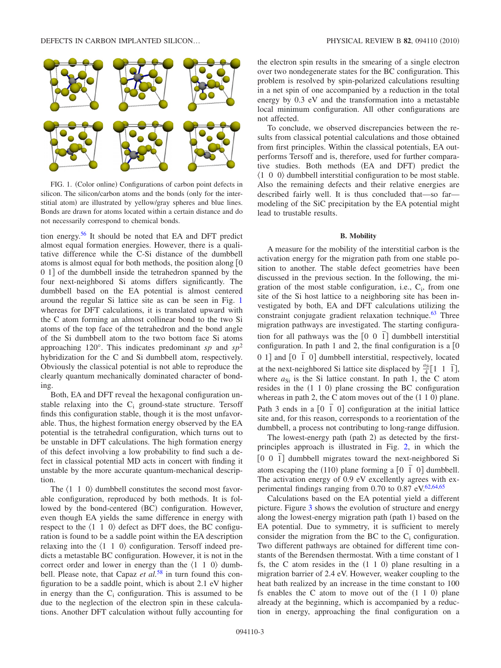<span id="page-2-0"></span>

FIG. 1. (Color online) Configurations of carbon point defects in silicon. The silicon/carbon atoms and the bonds (only for the interstitial atom) are illustrated by yellow/gray spheres and blue lines. Bonds are drawn for atoms located within a certain distance and do not necessarily correspond to chemical bonds.

tion energy[.56](#page-5-6) It should be noted that EA and DFT predict almost equal formation energies. However, there is a qualitative difference while the C-Si distance of the dumbbell atoms is almost equal for both methods, the position along  $\lceil 0 \rceil$ 0 1 of the dumbbell inside the tetrahedron spanned by the four next-neighbored Si atoms differs significantly. The dumbbell based on the EA potential is almost centered around the regular Si lattice site as can be seen in Fig. [1](#page-2-0) whereas for DFT calculations, it is translated upward with the C atom forming an almost collinear bond to the two Si atoms of the top face of the tetrahedron and the bond angle of the Si dumbbell atom to the two bottom face Si atoms approaching 120°. This indicates predominant *sp* and *sp*<sup>2</sup> hybridization for the C and Si dumbbell atom, respectively. Obviously the classical potential is not able to reproduce the clearly quantum mechanically dominated character of bonding.

Both, EA and DFT reveal the hexagonal configuration unstable relaxing into the  $C_i$  ground-state structure. Tersoff finds this configuration stable, though it is the most unfavorable. Thus, the highest formation energy observed by the EA potential is the tetrahedral configuration, which turns out to be unstable in DFT calculations. The high formation energy of this defect involving a low probability to find such a defect in classical potential MD acts in concert with finding it unstable by the more accurate quantum-mechanical description.

The  $\langle 1 \ 1 \ 0 \rangle$  dumbbell constitutes the second most favorable configuration, reproduced by both methods. It is followed by the bond-centered (BC) configuration. However, even though EA yields the same difference in energy with respect to the  $\langle 1 \ 1 \ 0 \rangle$  defect as DFT does, the BC configuration is found to be a saddle point within the EA description relaxing into the  $\langle 1 \ 1 \ 0 \rangle$  configuration. Tersoff indeed predicts a metastable BC configuration. However, it is not in the correct order and lower in energy than the  $\langle 1 \ 1 \ 0 \rangle$  dumbbell. Please note, that Capaz *et al.*<sup>[58](#page-5-11)</sup> in turn found this configuration to be a saddle point, which is about 2.1 eV higher in energy than the  $C_i$  configuration. This is assumed to be due to the neglection of the electron spin in these calculations. Another DFT calculation without fully accounting for the electron spin results in the smearing of a single electron over two nondegenerate states for the BC configuration. This problem is resolved by spin-polarized calculations resulting in a net spin of one accompanied by a reduction in the total energy by 0.3 eV and the transformation into a metastable local minimum configuration. All other configurations are not affected.

To conclude, we observed discrepancies between the results from classical potential calculations and those obtained from first principles. Within the classical potentials, EA outperforms Tersoff and is, therefore, used for further comparative studies. Both methods (EA and DFT) predict the  $(1\ 0\ 0)$  dumbbell interstitial configuration to be most stable. Also the remaining defects and their relative energies are described fairly well. It is thus concluded that—so far modeling of the SiC precipitation by the EA potential might lead to trustable results.

#### **B. Mobility**

A measure for the mobility of the interstitial carbon is the activation energy for the migration path from one stable position to another. The stable defect geometries have been discussed in the previous section. In the following, the migration of the most stable configuration, i.e.,  $C_i$ , from one site of the Si host lattice to a neighboring site has been investigated by both, EA and DFT calculations utilizing the constraint conjugate gradient relaxation technique.<sup>63</sup> Three migration pathways are investigated. The starting configuration for all pathways was the  $\begin{bmatrix} 0 & 0 & 1 \end{bmatrix}$  dumbbell interstitial configuration. In path 1 and 2, the final configuration is a  $[0]$ 0 1] and [0 1 0] dumbbell interstitial, respectively, located at the next-neighbored Si lattice site displaced by  $\frac{a_{\rm Si}}{4}$  [1 1  $\bar{1}$ ], where  $a_{\rm Si}$  is the Si lattice constant. In path 1, the C atom resides in the  $(1\ 1\ 0)$  plane crossing the BC configuration whereas in path 2, the C atom moves out of the  $(1\ 1\ 0)$  plane. Path 3 ends in a  $\begin{bmatrix} 0 & \overline{1} & 0 \end{bmatrix}$  configuration at the initial lattice site and, for this reason, corresponds to a reorientation of the dumbbell, a process not contributing to long-range diffusion.

The lowest-energy path (path 2) as detected by the firstprinciples approach is illustrated in Fig. [2,](#page-3-0) in which the 001*¯* dumbbell migrates toward the next-neighbored Si atom escaping the  $(110)$  plane forming a  $\begin{bmatrix} 0 & \overline{1} & 0 \end{bmatrix}$  dumbbell. The activation energy of 0.9 eV excellently agrees with experimental findings ranging from  $0.70$  to  $0.87$  eV. $62,64,65$  $62,64,65$  $62,64,65$ 

Calculations based on the EA potential yield a different picture. Figure [3](#page-3-1) shows the evolution of structure and energy along the lowest-energy migration path (path 1) based on the EA potential. Due to symmetry, it is sufficient to merely consider the migration from the BC to the  $C_i$  configuration. Two different pathways are obtained for different time constants of the Berendsen thermostat. With a time constant of 1 fs, the C atom resides in the  $(1\ 1\ 0)$  plane resulting in a migration barrier of 2.4 eV. However, weaker coupling to the heat bath realized by an increase in the time constant to 100 fs enables the C atom to move out of the  $(1\ 1\ 0)$  plane already at the beginning, which is accompanied by a reduction in energy, approaching the final configuration on a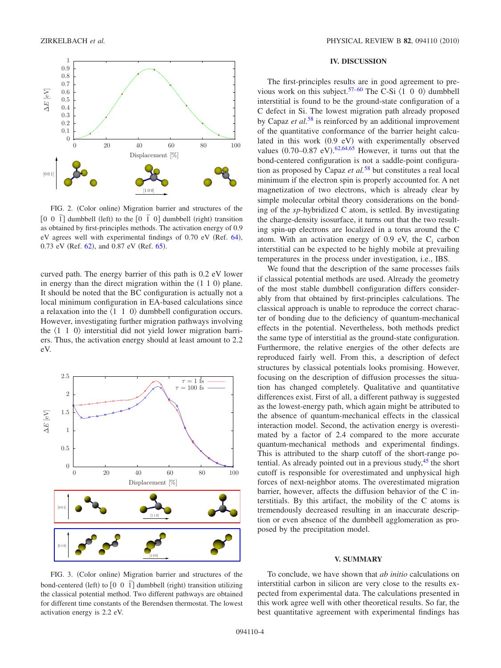<span id="page-3-0"></span>

FIG. 2. (Color online) Migration barrier and structures of the  $\begin{bmatrix} 0 & 0 & \overline{1} \end{bmatrix}$  dumbbell (left) to the  $\begin{bmatrix} 0 & \overline{1} & 0 \end{bmatrix}$  dumbbell (right) transition as obtained by first-principles methods. The activation energy of 0.9 eV agrees well with experimental findings of 0.70 eV (Ref. [64](#page-5-13)),  $0.73$  eV (Ref.  $62$ ), and  $0.87$  eV (Ref.  $65$ ).

curved path. The energy barrier of this path is 0.2 eV lower in energy than the direct migration within the  $(1\ 1\ 0)$  plane. It should be noted that the BC configuration is actually not a local minimum configuration in EA-based calculations since a relaxation into the  $\langle 1 \ 1 \ 0 \rangle$  dumbbell configuration occurs. However, investigating further migration pathways involving the  $\langle 1 \ 1 \ 0 \rangle$  interstitial did not yield lower migration barriers. Thus, the activation energy should at least amount to 2.2 eV.

<span id="page-3-1"></span>

FIG. 3. (Color online) Migration barrier and structures of the bond-centered (left) to  $\begin{bmatrix} 0 & 0 & \overline{1} \end{bmatrix}$  dumbbell (right) transition utilizing the classical potential method. Two different pathways are obtained for different time constants of the Berendsen thermostat. The lowest activation energy is 2.2 eV.

### **IV. DISCUSSION**

The first-principles results are in good agreement to pre-vious work on this subject.<sup>57–[60](#page-5-8)</sup> The C-Si  $\langle 1 \ 0 \ 0 \rangle$  dumbbell interstitial is found to be the ground-state configuration of a C defect in Si. The lowest migration path already proposed by Capaz *et al.*[58](#page-5-11) is reinforced by an additional improvement of the quantitative conformance of the barrier height calculated in this work (0.9 eV) with experimentally observed values  $(0.70{\text -}0.87 \text{ eV})$ .<sup>[62,](#page-5-10)[64](#page-5-13)[,65](#page-5-14)</sup> However, it turns out that the bond-centered configuration is not a saddle-point configuration as proposed by Capaz *et al.*[58](#page-5-11) but constitutes a real local minimum if the electron spin is properly accounted for. A net magnetization of two electrons, which is already clear by simple molecular orbital theory considerations on the bonding of the *sp*-hybridized C atom, is settled. By investigating the charge-density isosurface, it turns out that the two resulting spin-up electrons are localized in a torus around the C atom. With an activation energy of  $0.9$  eV, the C<sub>i</sub> carbon interstitial can be expected to be highly mobile at prevailing temperatures in the process under investigation, i.e., IBS.

We found that the description of the same processes fails if classical potential methods are used. Already the geometry of the most stable dumbbell configuration differs considerably from that obtained by first-principles calculations. The classical approach is unable to reproduce the correct character of bonding due to the deficiency of quantum-mechanical effects in the potential. Nevertheless, both methods predict the same type of interstitial as the ground-state configuration. Furthermore, the relative energies of the other defects are reproduced fairly well. From this, a description of defect structures by classical potentials looks promising. However, focusing on the description of diffusion processes the situation has changed completely. Qualitative and quantitative differences exist. First of all, a different pathway is suggested as the lowest-energy path, which again might be attributed to the absence of quantum-mechanical effects in the classical interaction model. Second, the activation energy is overestimated by a factor of 2.4 compared to the more accurate quantum-mechanical methods and experimental findings. This is attributed to the sharp cutoff of the short-range potential. As already pointed out in a previous study,  $45$  the short cutoff is responsible for overestimated and unphysical high forces of next-neighbor atoms. The overestimated migration barrier, however, affects the diffusion behavior of the C interstitials. By this artifact, the mobility of the C atoms is tremendously decreased resulting in an inaccurate description or even absence of the dumbbell agglomeration as proposed by the precipitation model.

### **V. SUMMARY**

To conclude, we have shown that *ab initio* calculations on interstitial carbon in silicon are very close to the results expected from experimental data. The calculations presented in this work agree well with other theoretical results. So far, the best quantitative agreement with experimental findings has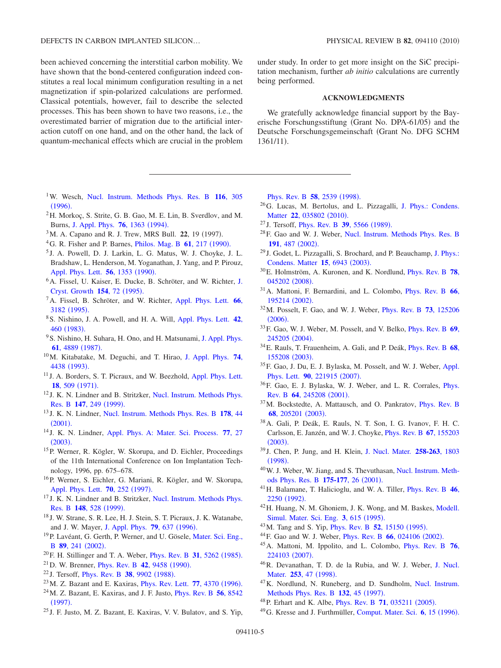DEFECTS IN CARBON IMPLANTED SILICON...

been achieved concerning the interstitial carbon mobility. We have shown that the bond-centered configuration indeed constitutes a real local minimum configuration resulting in a net magnetization if spin-polarized calculations are performed. Classical potentials, however, fail to describe the selected processes. This has been shown to have two reasons, i.e., the overestimated barrier of migration due to the artificial interaction cutoff on one hand, and on the other hand, the lack of quantum-mechanical effects which are crucial in the problem

- <span id="page-4-0"></span><sup>1</sup>W. Wesch, [Nucl. Instrum. Methods Phys. Res. B](http://dx.doi.org/10.1016/0168-583X(96)00065-1) 116, 305  $(1996).$  $(1996).$  $(1996).$
- <span id="page-4-1"></span>2H. Morkoç, S. Strite, G. B. Gao, M. E. Lin, B. Sverdlov, and M. Burns, [J. Appl. Phys.](http://dx.doi.org/10.1063/1.358463) **76**, 1363 (1994).
- <span id="page-4-2"></span><sup>3</sup>M. A. Capano and R. J. Trew, MRS Bull. **22**, 19 (1997).
- <span id="page-4-3"></span><sup>4</sup> G. R. Fisher and P. Barnes, *[Philos. Mag. B](http://dx.doi.org/10.1080/13642819008205522)* **61**, 217 (1990).
- <span id="page-4-4"></span><sup>5</sup> J. A. Powell, D. J. Larkin, L. G. Matus, W. J. Choyke, J. L. Bradshaw, L. Henderson, M. Yoganathan, J. Yang, and P. Pirouz, [Appl. Phys. Lett.](http://dx.doi.org/10.1063/1.102512) **56**, 1353 (1990).
- 6A. Fissel, U. Kaiser, E. Ducke, B. Schröter, and W. Richter, [J.](http://dx.doi.org/10.1016/0022-0248(95)00170-0) [Cryst. Growth](http://dx.doi.org/10.1016/0022-0248(95)00170-0) **154**, 72 (1995).
- <span id="page-4-5"></span>7A. Fissel, B. Schröter, and W. Richter, [Appl. Phys. Lett.](http://dx.doi.org/10.1063/1.113716) **66**, [3182](http://dx.doi.org/10.1063/1.113716) (1995).
- 8S. Nishino, J. A. Powell, and H. A. Will, [Appl. Phys. Lett.](http://dx.doi.org/10.1063/1.93970) **42**, 460 ([1983](http://dx.doi.org/10.1063/1.93970)).
- <sup>9</sup> S. Nishino, H. Suhara, H. Ono, and H. Matsunami, [J. Appl. Phys.](http://dx.doi.org/10.1063/1.338355) 61[, 4889](http://dx.doi.org/10.1063/1.338355) (1987).
- <span id="page-4-6"></span>10M. Kitabatake, M. Deguchi, and T. Hirao, [J. Appl. Phys.](http://dx.doi.org/10.1063/1.354385) **74**, [4438](http://dx.doi.org/10.1063/1.354385) (1993).
- <span id="page-4-7"></span><sup>11</sup> J. A. Borders, S. T. Picraux, and W. Beezhold, [Appl. Phys. Lett.](http://dx.doi.org/10.1063/1.1653516) **18**[, 509](http://dx.doi.org/10.1063/1.1653516) (1971).
- <span id="page-4-8"></span><sup>12</sup> J. K. N. Lindner and B. Stritzker, [Nucl. Instrum. Methods Phys.](http://dx.doi.org/10.1016/S0168-583X(98)00598-9) [Res. B](http://dx.doi.org/10.1016/S0168-583X(98)00598-9) **147**, 249 (1999).
- <sup>13</sup> J. K. N. Lindner, [Nucl. Instrum. Methods Phys. Res. B](http://dx.doi.org/10.1016/S0168-583X(01)00504-3) **178**, 44  $(2001).$  $(2001).$  $(2001).$
- <span id="page-4-9"></span><sup>14</sup> J. K. N. Lindner, [Appl. Phys. A: Mater. Sci. Process.](http://dx.doi.org/10.1007/s00339-002-2062-8) **77**, 27  $(2003).$  $(2003).$  $(2003).$
- <span id="page-4-10"></span>15P. Werner, R. Kögler, W. Skorupa, and D. Eichler, Proceedings of the 11th International Conference on Ion Implantation Technology, 1996, pp. 675–678.
- 16P. Werner, S. Eichler, G. Mariani, R. Kögler, and W. Skorupa, [Appl. Phys. Lett.](http://dx.doi.org/10.1063/1.118381) **70**, 252 (1997).
- <span id="page-4-11"></span><sup>17</sup> J. K. N. Lindner and B. Stritzker, [Nucl. Instrum. Methods Phys.](http://dx.doi.org/10.1016/S0168-583X(98)00787-3) [Res. B](http://dx.doi.org/10.1016/S0168-583X(98)00787-3) 148, 528 (1999).
- <span id="page-4-12"></span><sup>18</sup> J. W. Strane, S. R. Lee, H. J. Stein, S. T. Picraux, J. K. Watanabe, and J. W. Mayer, [J. Appl. Phys.](http://dx.doi.org/10.1063/1.360806) **79**, 637 (1996).
- <span id="page-4-13"></span><sup>19</sup>P. Lavéant, G. Gerth, P. Werner, and U. Gösele, [Mater. Sci. Eng.,](http://dx.doi.org/10.1016/S0921-5107(01)00794-2) B 89[, 241](http://dx.doi.org/10.1016/S0921-5107(01)00794-2) (2002).
- <span id="page-4-14"></span><sup>20</sup> F. H. Stillinger and T. A. Weber, *[Phys. Rev. B](http://dx.doi.org/10.1103/PhysRevB.31.5262)* **31**, 5262 (1985).
- <span id="page-4-15"></span> $^{21}$ D. W. Brenner, *[Phys. Rev. B](http://dx.doi.org/10.1103/PhysRevB.42.9458)* 42, 9458 (1990).
- <span id="page-4-16"></span><sup>22</sup> J. Tersoff, *[Phys. Rev. B](http://dx.doi.org/10.1103/PhysRevB.38.9902)* **38**, 9902 (1988).
- <span id="page-4-17"></span><sup>23</sup> M. Z. Bazant and E. Kaxiras, *[Phys. Rev. Lett.](http://dx.doi.org/10.1103/PhysRevLett.77.4370)* **77**, 4370 (1996).
- 24M. Z. Bazant, E. Kaxiras, and J. F. Justo, [Phys. Rev. B](http://dx.doi.org/10.1103/PhysRevB.56.8542) **56**, 8542  $(1997).$  $(1997).$  $(1997).$
- <span id="page-4-18"></span><sup>25</sup> J. F. Justo, M. Z. Bazant, E. Kaxiras, V. V. Bulatov, and S. Yip,

under study. In order to get more insight on the SiC precipitation mechanism, further *ab initio* calculations are currently being performed.

### **ACKNOWLEDGMENTS**

We gratefully acknowledge financial support by the Bayerische Forschungsstiftung (Grant No. DPA-61/05) and the Deutsche Forschungsgemeinschaft Grant No. DFG SCHM 1361/11).

- [Phys. Rev. B](http://dx.doi.org/10.1103/PhysRevB.58.2539) **58**, 2539 (1998).
- <span id="page-4-19"></span>26G. Lucas, M. Bertolus, and L. Pizzagalli, [J. Phys.: Condens.](http://dx.doi.org/10.1088/0953-8984/22/3/035802) Matter **22**[, 035802](http://dx.doi.org/10.1088/0953-8984/22/3/035802) (2010).
- <span id="page-4-20"></span><sup>27</sup> J. Tersoff, *[Phys. Rev. B](http://dx.doi.org/10.1103/PhysRevB.39.5566)* **39**, 5566 (1989).
- <span id="page-4-21"></span><sup>28</sup>F. Gao and W. J. Weber, [Nucl. Instrum. Methods Phys. Res. B](http://dx.doi.org/10.1016/S0168-583X(02)00598-0) **191**[, 487](http://dx.doi.org/10.1016/S0168-583X(02)00598-0) (2002).
- <span id="page-4-22"></span><sup>29</sup> J. Godet, L. Pizzagalli, S. Brochard, and P. Beauchamp, [J. Phys.:](http://dx.doi.org/10.1088/0953-8984/15/41/004) [Condens. Matter](http://dx.doi.org/10.1088/0953-8984/15/41/004) **15**, 6943 (2003).
- <span id="page-4-23"></span>30E. Holmström, A. Kuronen, and K. Nordlund, [Phys. Rev. B](http://dx.doi.org/10.1103/PhysRevB.78.045202) **78**, [045202](http://dx.doi.org/10.1103/PhysRevB.78.045202) (2008).
- <span id="page-4-24"></span>31A. Mattoni, F. Bernardini, and L. Colombo, [Phys. Rev. B](http://dx.doi.org/10.1103/PhysRevB.66.195214) **66**, [195214](http://dx.doi.org/10.1103/PhysRevB.66.195214) (2002).
- <span id="page-4-25"></span>32M. Posselt, F. Gao, and W. J. Weber, [Phys. Rev. B](http://dx.doi.org/10.1103/PhysRevB.73.125206) **73**, 125206  $(2006).$  $(2006).$  $(2006).$
- <span id="page-4-26"></span>33F. Gao, W. J. Weber, M. Posselt, and V. Belko, [Phys. Rev. B](http://dx.doi.org/10.1103/PhysRevB.69.245205) **69**, [245205](http://dx.doi.org/10.1103/PhysRevB.69.245205) (2004).
- <span id="page-4-27"></span>34E. Rauls, T. Frauenheim, A. Gali, and P. Deák, [Phys. Rev. B](http://dx.doi.org/10.1103/PhysRevB.68.155208) **68**, [155208](http://dx.doi.org/10.1103/PhysRevB.68.155208) (2003).
- 35F. Gao, J. Du, E. J. Bylaska, M. Posselt, and W. J. Weber, [Appl.](http://dx.doi.org/10.1063/1.2743751) [Phys. Lett.](http://dx.doi.org/10.1063/1.2743751) **90**, 221915 (2007).
- 36F. Gao, E. J. Bylaska, W. J. Weber, and L. R. Corrales, [Phys.](http://dx.doi.org/10.1103/PhysRevB.64.245208) Rev. B 64[, 245208](http://dx.doi.org/10.1103/PhysRevB.64.245208) (2001).
- <span id="page-4-28"></span>37M. Bockstedte, A. Mattausch, and O. Pankratov, [Phys. Rev. B](http://dx.doi.org/10.1103/PhysRevB.68.205201) 68[, 205201](http://dx.doi.org/10.1103/PhysRevB.68.205201) (2003).
- <span id="page-4-29"></span>38A. Gali, P. Deák, E. Rauls, N. T. Son, I. G. Ivanov, F. H. C. Carlsson, E. Janzén, and W. J. Choyke, [Phys. Rev. B](http://dx.doi.org/10.1103/PhysRevB.67.155203) **67**, 155203  $(2003).$  $(2003).$  $(2003).$
- <sup>39</sup> J. Chen, P. Jung, and H. Klein, [J. Nucl. Mater.](http://dx.doi.org/10.1016/S0022-3115(98)00139-1) **258-263**, 1803  $(1998).$  $(1998).$  $(1998).$
- <span id="page-4-30"></span>40W. J. Weber, W. Jiang, and S. Thevuthasan, [Nucl. Instrum. Meth](http://dx.doi.org/10.1016/S0168-583X(00)00542-5)[ods Phys. Res. B](http://dx.doi.org/10.1016/S0168-583X(00)00542-5) 175-177, 26 (2001).
- <span id="page-4-31"></span>41H. Balamane, T. Halicioglu, and W. A. Tiller, [Phys. Rev. B](http://dx.doi.org/10.1103/PhysRevB.46.2250) **46**, [2250](http://dx.doi.org/10.1103/PhysRevB.46.2250) (1992).
- <span id="page-4-32"></span><sup>42</sup> H. Huang, N. M. Ghoniem, J. K. Wong, and M. Baskes, [Modell.](http://dx.doi.org/10.1088/0965-0393/3/5/003) [Simul. Mater. Sci. Eng.](http://dx.doi.org/10.1088/0965-0393/3/5/003) 3, 615 (1995).
- <span id="page-4-33"></span><sup>43</sup> M. Tang and S. Yip, *[Phys. Rev. B](http://dx.doi.org/10.1103/PhysRevB.52.15150)* **52**, 15150 (1995).
- <sup>44</sup> F. Gao and W. J. Weber, *[Phys. Rev. B](http://dx.doi.org/10.1103/PhysRevB.66.024106)* **66**, 024106 (2002).
- <span id="page-4-34"></span>45A. Mattoni, M. Ippolito, and L. Colombo, [Phys. Rev. B](http://dx.doi.org/10.1103/PhysRevB.76.224103) **76**, [224103](http://dx.doi.org/10.1103/PhysRevB.76.224103) (2007).
- <span id="page-4-35"></span>46R. Devanathan, T. D. de la Rubia, and W. J. Weber, [J. Nucl.](http://dx.doi.org/10.1016/S0022-3115(97)00304-8) [Mater.](http://dx.doi.org/10.1016/S0022-3115(97)00304-8) **253**, 47 (1998).
- <span id="page-4-36"></span><sup>47</sup>K. Nordlund, N. Runeberg, and D. Sundholm, [Nucl. Instrum.](http://dx.doi.org/10.1016/S0168-583X(97)00447-3) [Methods Phys. Res. B](http://dx.doi.org/10.1016/S0168-583X(97)00447-3) 132, 45 (1997).
- <span id="page-4-37"></span><sup>48</sup> P. Erhart and K. Albe, *[Phys. Rev. B](http://dx.doi.org/10.1103/PhysRevB.71.035211)* **71**, 035211 (2005).
- <span id="page-4-38"></span><sup>49</sup> G. Kresse and J. Furthmüller, [Comput. Mater. Sci.](http://dx.doi.org/10.1016/0927-0256(96)00008-0) 6, 15 (1996).